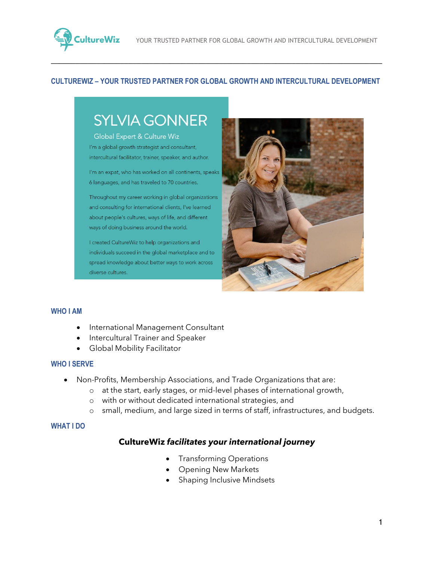

#### **CULTUREWIZ – YOUR TRUSTED PARTNER FOR GLOBAL GROWTH AND INTERCULTURAL DEVELOPMENT**

\_\_\_\_\_\_\_\_\_\_\_\_\_\_\_\_\_\_\_\_\_\_\_\_\_\_\_\_\_\_\_\_\_\_\_\_\_\_\_\_\_\_\_\_\_\_\_\_\_\_\_\_\_\_\_\_\_\_\_\_\_\_\_\_\_\_\_\_\_\_\_\_\_\_\_\_\_\_\_\_\_

# **SYLVIA GONNER**

Global Expert & Culture Wiz I'm a global growth strategist and consultant, intercultural facilitator, trainer, speaker, and author.

I'm an expat, who has worked on all continents, speaks 6 languages, and has traveled to 70 countries.

Throughout my career working in global organizations and consulting for international clients, I've learned about people's cultures, ways of life, and different ways of doing business around the world.

I created CultureWiz to help organizations and individuals succeed in the global marketplace and to spread knowledge about better ways to work across diverse cultures.



#### **WHO I AM**

- International Management Consultant
- Intercultural Trainer and Speaker
- Global Mobility Facilitator

#### **WHO I SERVE**

- Non-Profits, Membership Associations, and Trade Organizations that are:
	- o at the start, early stages, or mid-level phases of international growth,
	- o with or without dedicated international strategies, and
	- o small, medium, and large sized in terms of staff, infrastructures, and budgets.

#### **WHAT I DO**

#### **CultureWiz** *facilitates your international journey*

- Transforming Operations
- Opening New Markets
- Shaping Inclusive Mindsets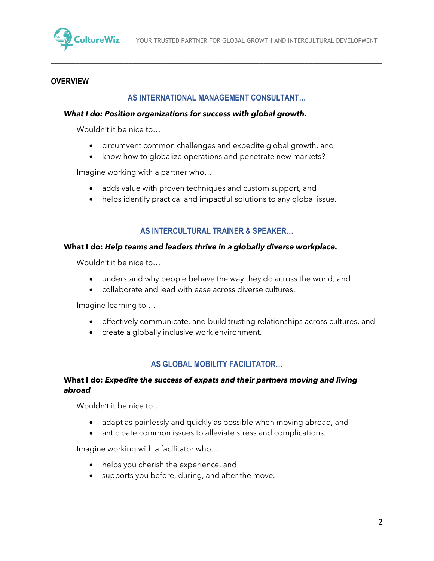

#### **OVERVIEW**

#### **AS INTERNATIONAL MANAGEMENT CONSULTANT…**

\_\_\_\_\_\_\_\_\_\_\_\_\_\_\_\_\_\_\_\_\_\_\_\_\_\_\_\_\_\_\_\_\_\_\_\_\_\_\_\_\_\_\_\_\_\_\_\_\_\_\_\_\_\_\_\_\_\_\_\_\_\_\_\_\_\_\_\_\_\_\_\_\_\_\_\_\_\_\_\_\_

#### *What I do: Position organizations for success with global growth.*

Wouldn't it be nice to…

- circumvent common challenges and expedite global growth, and
- know how to globalize operations and penetrate new markets?

Imagine working with a partner who…

- adds value with proven techniques and custom support, and
- helps identify practical and impactful solutions to any global issue.

#### **AS INTERCULTURAL TRAINER & SPEAKER…**

#### **What I do:** *Help teams and leaders thrive in a globally diverse workplace.*

Wouldn't it be nice to…

- understand why people behave the way they do across the world, and
- collaborate and lead with ease across diverse cultures.

Imagine learning to …

- effectively communicate, and build trusting relationships across cultures, and
- create a globally inclusive work environment.

#### **AS GLOBAL MOBILITY FACILITATOR…**

#### **What I do:** *Expedite the success of expats and their partners moving and living abroad*

Wouldn't it be nice to…

- adapt as painlessly and quickly as possible when moving abroad, and
- anticipate common issues to alleviate stress and complications.

Imagine working with a facilitator who…

- helps you cherish the experience, and
- supports you before, during, and after the move.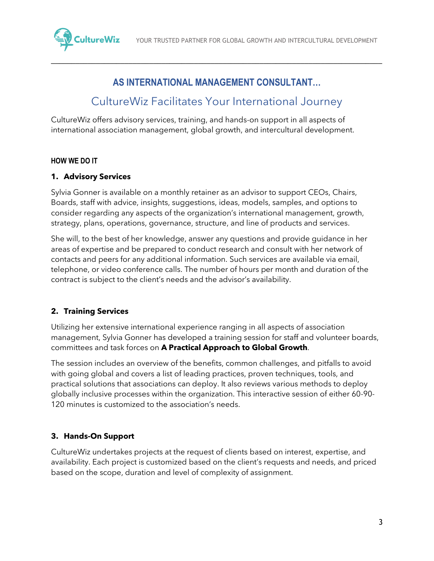

### **AS INTERNATIONAL MANAGEMENT CONSULTANT…**

\_\_\_\_\_\_\_\_\_\_\_\_\_\_\_\_\_\_\_\_\_\_\_\_\_\_\_\_\_\_\_\_\_\_\_\_\_\_\_\_\_\_\_\_\_\_\_\_\_\_\_\_\_\_\_\_\_\_\_\_\_\_\_\_\_\_\_\_\_\_\_\_\_\_\_\_\_\_\_\_\_

## CultureWiz Facilitates Your International Journey

CultureWiz offers advisory services, training, and hands-on support in all aspects of international association management, global growth, and intercultural development.

#### **HOW WE DO IT**

#### **1. Advisory Services**

Sylvia Gonner is available on a monthly retainer as an advisor to support CEOs, Chairs, Boards, staff with advice, insights, suggestions, ideas, models, samples, and options to consider regarding any aspects of the organization's international management, growth, strategy, plans, operations, governance, structure, and line of products and services.

She will, to the best of her knowledge, answer any questions and provide guidance in her areas of expertise and be prepared to conduct research and consult with her network of contacts and peers for any additional information. Such services are available via email, telephone, or video conference calls. The number of hours per month and duration of the contract is subject to the client's needs and the advisor's availability.

#### **2. Training Services**

Utilizing her extensive international experience ranging in all aspects of association management, Sylvia Gonner has developed a training session for staff and volunteer boards, committees and task forces on **A Practical Approach to Global Growth**.

The session includes an overview of the benefits, common challenges, and pitfalls to avoid with going global and covers a list of leading practices, proven techniques, tools, and practical solutions that associations can deploy. It also reviews various methods to deploy globally inclusive processes within the organization. This interactive session of either 60-90- 120 minutes is customized to the association's needs.

#### **3. Hands-On Support**

CultureWiz undertakes projects at the request of clients based on interest, expertise, and availability. Each project is customized based on the client's requests and needs, and priced based on the scope, duration and level of complexity of assignment.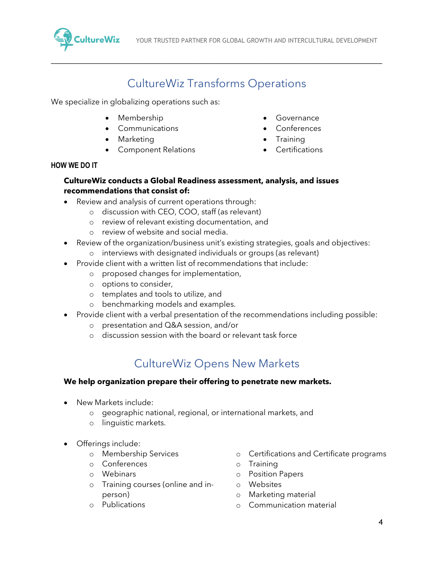

# CultureWiz Transforms Operations

\_\_\_\_\_\_\_\_\_\_\_\_\_\_\_\_\_\_\_\_\_\_\_\_\_\_\_\_\_\_\_\_\_\_\_\_\_\_\_\_\_\_\_\_\_\_\_\_\_\_\_\_\_\_\_\_\_\_\_\_\_\_\_\_\_\_\_\_\_\_\_\_\_\_\_\_\_\_\_\_\_

We specialize in globalizing operations such as:

- Membership
- **Communications**
- Marketing
- Component Relations
- Governance
- Conferences
- Training
- Certifications

#### **HOW WE DO IT**

#### **CultureWiz conducts a Global Readiness assessment, analysis, and issues recommendations that consist of:**

- Review and analysis of current operations through:
	- o discussion with CEO, COO, staff (as relevant)
	- o review of relevant existing documentation, and
	- o review of website and social media.
- Review of the organization/business unit's existing strategies, goals and objectives:
	- o interviews with designated individuals or groups (as relevant)
- Provide client with a written list of recommendations that include:
	- o proposed changes for implementation,
	- o options to consider,
	- o templates and tools to utilize, and
	- o benchmarking models and examples.
- Provide client with a verbal presentation of the recommendations including possible:
	- o presentation and Q&A session, and/or
	- o discussion session with the board or relevant task force

# CultureWiz Opens New Markets

#### **We help organization prepare their offering to penetrate new markets.**

- New Markets include:
	- o geographic national, regional, or international markets, and
	- o linguistic markets.
- Offerings include:
	- o Membership Services
	- o Conferences
	- o Webinars
	- o Training courses (online and inperson)
	- o Publications
- o Certifications and Certificate programs
- o Training
- o Position Papers
- o Websites
- o Marketing material
- o Communication material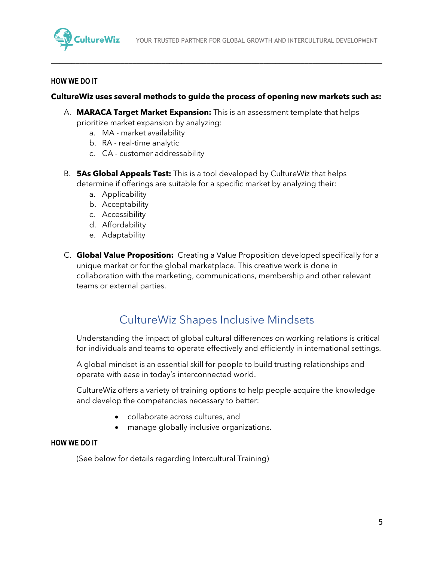

#### **HOW WE DO IT**

#### **CultureWiz uses several methods to guide the process of opening new markets such as:**

\_\_\_\_\_\_\_\_\_\_\_\_\_\_\_\_\_\_\_\_\_\_\_\_\_\_\_\_\_\_\_\_\_\_\_\_\_\_\_\_\_\_\_\_\_\_\_\_\_\_\_\_\_\_\_\_\_\_\_\_\_\_\_\_\_\_\_\_\_\_\_\_\_\_\_\_\_\_\_\_\_

- A. **MARACA Target Market Expansion:** This is an assessment template that helps prioritize market expansion by analyzing:
	- a. MA market availability
	- b. RA real-time analytic
	- c. CA customer addressability
- B. **5As Global Appeals Test:** This is a tool developed by CultureWiz that helps determine if offerings are suitable for a specific market by analyzing their:
	- a. Applicability
	- b. Acceptability
	- c. Accessibility
	- d. Affordability
	- e. Adaptability
- C. **Global Value Proposition:** Creating a Value Proposition developed specifically for a unique market or for the global marketplace. This creative work is done in collaboration with the marketing, communications, membership and other relevant teams or external parties.

### CultureWiz Shapes Inclusive Mindsets

Understanding the impact of global cultural differences on working relations is critical for individuals and teams to operate effectively and efficiently in international settings.

A global mindset is an essential skill for people to build trusting relationships and operate with ease in today's interconnected world.

CultureWiz offers a variety of training options to help people acquire the knowledge and develop the competencies necessary to better:

- collaborate across cultures, and
- manage globally inclusive organizations.

#### **HOW WE DO IT**

(See below for details regarding Intercultural Training)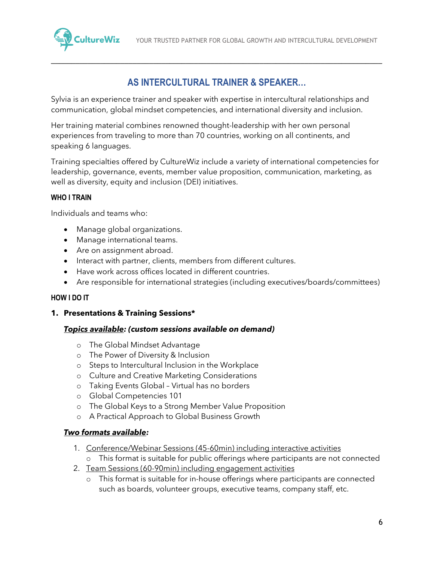

### **AS INTERCULTURAL TRAINER & SPEAKER…**

\_\_\_\_\_\_\_\_\_\_\_\_\_\_\_\_\_\_\_\_\_\_\_\_\_\_\_\_\_\_\_\_\_\_\_\_\_\_\_\_\_\_\_\_\_\_\_\_\_\_\_\_\_\_\_\_\_\_\_\_\_\_\_\_\_\_\_\_\_\_\_\_\_\_\_\_\_\_\_\_\_

Sylvia is an experience trainer and speaker with expertise in intercultural relationships and communication, global mindset competencies, and international diversity and inclusion.

Her training material combines renowned thought-leadership with her own personal experiences from traveling to more than 70 countries, working on all continents, and speaking 6 languages.

Training specialties offered by CultureWiz include a variety of international competencies for leadership, governance, events, member value proposition, communication, marketing, as well as diversity, equity and inclusion (DEI) initiatives.

#### **WHO I TRAIN**

Individuals and teams who:

- Manage global organizations.
- Manage international teams.
- Are on assignment abroad.
- Interact with partner, clients, members from different cultures.
- Have work across offices located in different countries.
- Are responsible for international strategies (including executives/boards/committees)

#### **HOW I DO IT**

#### **1. Presentations & Training Sessions\***

#### *Topics available: (custom sessions available on demand)*

- o The Global Mindset Advantage
- o The Power of Diversity & Inclusion
- o Steps to Intercultural Inclusion in the Workplace
- o Culture and Creative Marketing Considerations
- o Taking Events Global Virtual has no borders
- o Global Competencies 101
- o The Global Keys to a Strong Member Value Proposition
- o A Practical Approach to Global Business Growth

#### *Two formats available:*

- 1. Conference/Webinar Sessions (45-60min) including interactive activities
	- o This format is suitable for public offerings where participants are not connected
- 2. Team Sessions (60-90min) including engagement activities
	- o This format is suitable for in-house offerings where participants are connected such as boards, volunteer groups, executive teams, company staff, etc.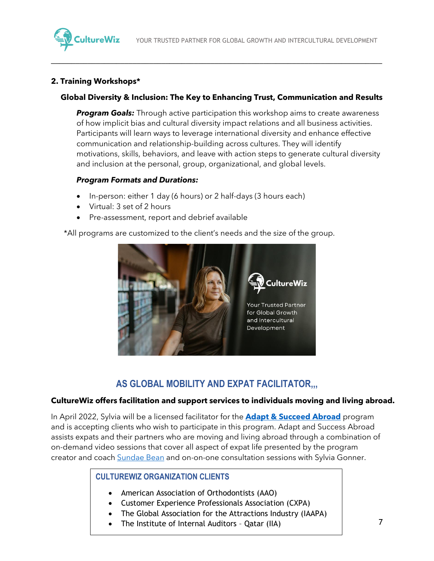

#### **2. Training Workshops\***

#### **Global Diversity & Inclusion: The Key to Enhancing Trust, Communication and Results**

\_\_\_\_\_\_\_\_\_\_\_\_\_\_\_\_\_\_\_\_\_\_\_\_\_\_\_\_\_\_\_\_\_\_\_\_\_\_\_\_\_\_\_\_\_\_\_\_\_\_\_\_\_\_\_\_\_\_\_\_\_\_\_\_\_\_\_\_\_\_\_\_\_\_\_\_\_\_\_\_\_

**Program Goals:** Through active participation this workshop aims to create awareness of how implicit bias and cultural diversity impact relations and all business activities. Participants will learn ways to leverage international diversity and enhance effective communication and relationship-building across cultures. They will identify motivations, skills, behaviors, and leave with action steps to generate cultural diversity and inclusion at the personal, group, organizational, and global levels.

#### *Program Formats and Durations:*

- In-person: either 1 day (6 hours) or 2 half-days (3 hours each)
- Virtual: 3 set of 2 hours
- Pre-assessment, report and debrief available

\*All programs are customized to the client's needs and the size of the group.



### **AS GLOBAL MOBILITY AND EXPAT FACILITATOR,,,**

#### **CultureWiz offers facilitation and support services to individuals moving and living abroad.**

In April 2022, Sylvia will be a licensed facilitator for the **[Adapt & Succeed Abroad](https://www.sundaebean.com/adapt-and-succeed-abroad/)** program and is accepting clients who wish to participate in this program. Adapt and Success Abroad assists expats and their partners who are moving and living abroad through a combination of on-demand video sessions that cover all aspect of expat life presented by the program creator and coach [Sundae Bean](https://www.sundaebean.com/) and on-on-one consultation sessions with Sylvia Gonner.

#### **CULTUREWIZ ORGANIZATION CLIENTS**

- American Association of Orthodontists (AAO)
- Customer Experience Professionals Association (CXPA)
- The Global Association for the Attractions Industry (IAAPA)
- The Institute of Internal Auditors Qatar (IIA)